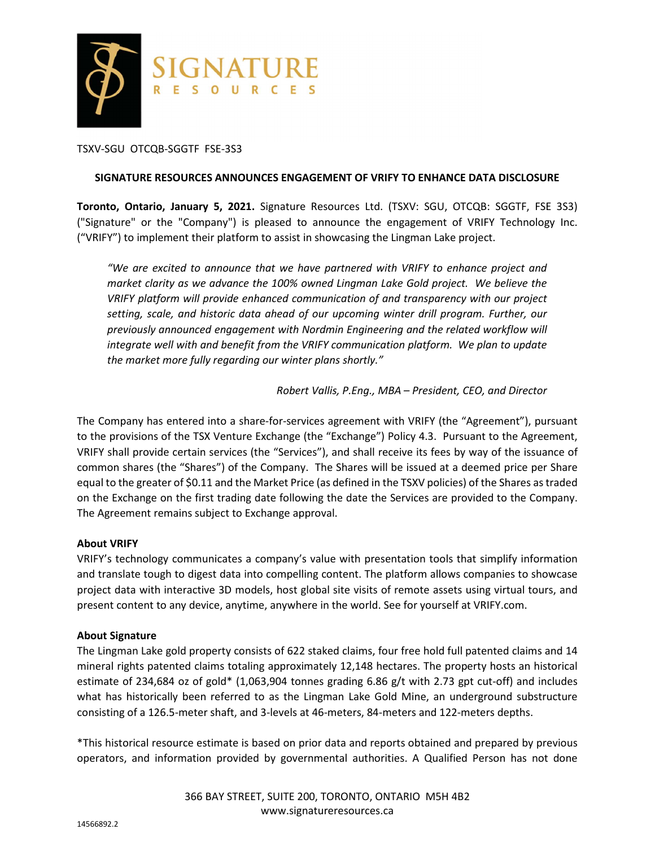

# TSXV-SGU OTCQB-SGGTF FSE-3S3

#### **SIGNATURE RESOURCES ANNOUNCES ENGAGEMENT OF VRIFY TO ENHANCE DATA DISCLOSURE**

**Toronto, Ontario, January 5, 2021.** Signature Resources Ltd. (TSXV: SGU, OTCQB: SGGTF, FSE 3S3) ("Signature" or the "Company") is pleased to announce the engagement of VRIFY Technology Inc. ("VRIFY") to implement their platform to assist in showcasing the Lingman Lake project.

*"We are excited to announce that we have partnered with VRIFY to enhance project and market clarity as we advance the 100% owned Lingman Lake Gold project. We believe the VRIFY platform will provide enhanced communication of and transparency with our project setting, scale, and historic data ahead of our upcoming winter drill program. Further, our previously announced engagement with Nordmin Engineering and the related workflow will integrate well with and benefit from the VRIFY communication platform. We plan to update the market more fully regarding our winter plans shortly."* 

*Robert Vallis, P.Eng., MBA – President, CEO, and Director* 

The Company has entered into a share-for-services agreement with VRIFY (the "Agreement"), pursuant to the provisions of the TSX Venture Exchange (the "Exchange") Policy 4.3. Pursuant to the Agreement, VRIFY shall provide certain services (the "Services"), and shall receive its fees by way of the issuance of common shares (the "Shares") of the Company. The Shares will be issued at a deemed price per Share equal to the greater of \$0.11 and the Market Price (as defined in the TSXV policies) of the Shares as traded on the Exchange on the first trading date following the date the Services are provided to the Company. The Agreement remains subject to Exchange approval.

## **About VRIFY**

VRIFY's technology communicates a company's value with presentation tools that simplify information and translate tough to digest data into compelling content. The platform allows companies to showcase project data with interactive 3D models, host global site visits of remote assets using virtual tours, and present content to any device, anytime, anywhere in the world. See for yourself at VRIFY.com.

## **About Signature**

The Lingman Lake gold property consists of 622 staked claims, four free hold full patented claims and 14 mineral rights patented claims totaling approximately 12,148 hectares. The property hosts an historical estimate of 234,684 oz of gold\* (1,063,904 tonnes grading 6.86 g/t with 2.73 gpt cut-off) and includes what has historically been referred to as the Lingman Lake Gold Mine, an underground substructure consisting of a 126.5-meter shaft, and 3-levels at 46-meters, 84-meters and 122-meters depths.

\*This historical resource estimate is based on prior data and reports obtained and prepared by previous operators, and information provided by governmental authorities. A Qualified Person has not done